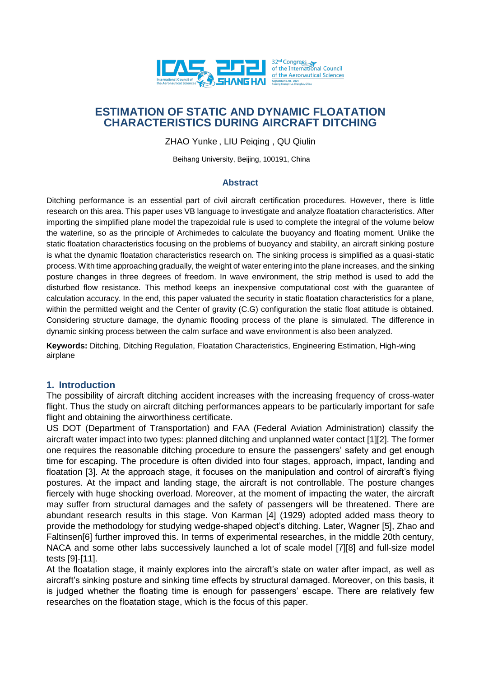

# **ESTIMATION OF STATIC AND DYNAMIC FLOATATION CHARACTERISTICS DURING AIRCRAFT DITCHING**

ZHAO Yunke , LIU Peiqing , QU Qiulin

Beihang University, Beijing, 100191, China

#### **Abstract**

Ditching performance is an essential part of civil aircraft certification procedures. However, there is little research on this area. This paper uses VB language to investigate and analyze floatation characteristics. After importing the simplified plane model the trapezoidal rule is used to complete the integral of the volume below the waterline, so as the principle of Archimedes to calculate the buoyancy and floating moment. Unlike the static floatation characteristics focusing on the problems of buoyancy and stability, an aircraft sinking posture is what the dynamic floatation characteristics research on. The sinking process is simplified as a quasi-static process. With time approaching gradually, the weight of water entering into the plane increases, and the sinking posture changes in three degrees of freedom. In wave environment, the strip method is used to add the disturbed flow resistance. This method keeps an inexpensive computational cost with the guarantee of calculation accuracy. In the end, this paper valuated the security in static floatation characteristics for a plane, within the permitted weight and the Center of gravity (C.G) configuration the static float attitude is obtained. Considering structure damage, the dynamic flooding process of the plane is simulated. The difference in dynamic sinking process between the calm surface and wave environment is also been analyzed.

**Keywords:** Ditching, Ditching Regulation, Floatation Characteristics, Engineering Estimation, High-wing airplane

### **1. Introduction**

The possibility of aircraft ditching accident increases with the increasing frequency of cross-water flight. Thus the study on aircraft ditching performances appears to be particularly important for safe flight and obtaining the airworthiness certificate.

US DOT (Department of Transportation) and FAA (Federal Aviation Administration) classify the aircraft water impact into two types: planned ditching and unplanned water contact [1][2]. The former one requires the reasonable ditching procedure to ensure the passengers' safety and get enough time for escaping. The procedure is often divided into four stages, approach, impact, landing and floatation [3]. At the approach stage, it focuses on the manipulation and control of aircraft's flying postures. At the impact and landing stage, the aircraft is not controllable. The posture changes fiercely with huge shocking overload. Moreover, at the moment of impacting the water, the aircraft may suffer from structural damages and the safety of passengers will be threatened. There are abundant research results in this stage. Von Karman [4] (1929) adopted added mass theory to provide the methodology for studying wedge-shaped object's ditching. Later, Wagner [5], Zhao and Faltinsen[6] further improved this. In terms of experimental researches, in the middle 20th century, NACA and some other labs successively launched a lot of scale model [7][8] and full-size model tests [9]-[11].

At the floatation stage, it mainly explores into the aircraft's state on water after impact, as well as aircraft's sinking posture and sinking time effects by structural damaged. Moreover, on this basis, it is judged whether the floating time is enough for passengers' escape. There are relatively few researches on the floatation stage, which is the focus of this paper.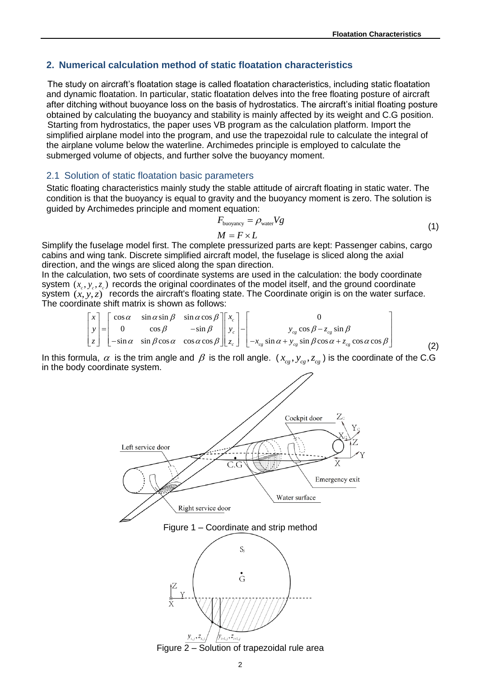### **2. Numerical calculation method of static floatation characteristics**

The study on aircraft's floatation stage is called floatation characteristics, including static floatation and dynamic floatation. In particular, static floatation delves into the free floating posture of aircraft after ditching without buoyance loss on the basis of hydrostatics. The aircraft's initial floating posture obtained by calculating the buoyancy and stability is mainly affected by its weight and C.G position. Starting from hydrostatics, the paper uses VB program as the calculation platform. Import the simplified airplane model into the program, and use the trapezoidal rule to calculate the integral of the airplane volume below the waterline. Archimedes principle is employed to calculate the submerged volume of objects, and further solve the buoyancy moment.

#### 2.1 Solution of static floatation basic parameters

Static floating characteristics mainly study the stable attitude of aircraft floating in static water. The condition is that the buoyancy is equal to gravity and the buoyancy moment is zero. The solution is guided by Archimedes principle and moment equation:

$$
F_{\text{buoyancy}} = \rho_{\text{water}} V g
$$
  

$$
M = F \times L
$$
 (1)

Simplify the fuselage model first. The complete pressurized parts are kept: Passenger cabins, cargo cabins and wing tank. Discrete simplified aircraft model, the fuselage is sliced along the axial direction, and the wings are sliced along the span direction.

In the calculation, two sets of coordinate systems are used in the calculation: the body coordinate system  $(x_c, y_c, z_c)$  records the original coordinates of the model itself, and the ground coordinate<br>system  $(x, y, z)$  records the aircraft's floating state. The Coordinate origin is on the water surface.<br>The coordinate shift The coordinate shift matrix is shown as follows:

system 
$$
(x_c, y_c, z_c)
$$
 records the aircraft's floating state. The Coordinate origin is on the water surface.  
The coordinate shift matrix is shown as follows:  

$$
\begin{bmatrix} x \\ y \\ z \end{bmatrix} = \begin{bmatrix} \cos \alpha & \sin \alpha \sin \beta & \sin \alpha \cos \beta \\ 0 & \cos \beta & -\sin \beta \\ -\sin \alpha & \sin \beta \cos \alpha & \cos \alpha \cos \beta \end{bmatrix} \begin{bmatrix} x_c \\ y_c \\ z_c \end{bmatrix} - \begin{bmatrix} 0 \\ y_{cg} \cos \beta - z_{cg} \sin \beta \\ -x_{cg} \sin \alpha + y_{cg} \sin \beta \cos \alpha + z_{cg} \cos \alpha \cos \beta \end{bmatrix}
$$
 (2)

In this formula,  $\alpha$  is the trim angle and  $\beta$  is the roll angle.  $(x_{cg}, y_{cg}, z_{cg})$  is the coordinate of the C.G in the body coordinate system.



Figure 2 – Solution of trapezoidal rule area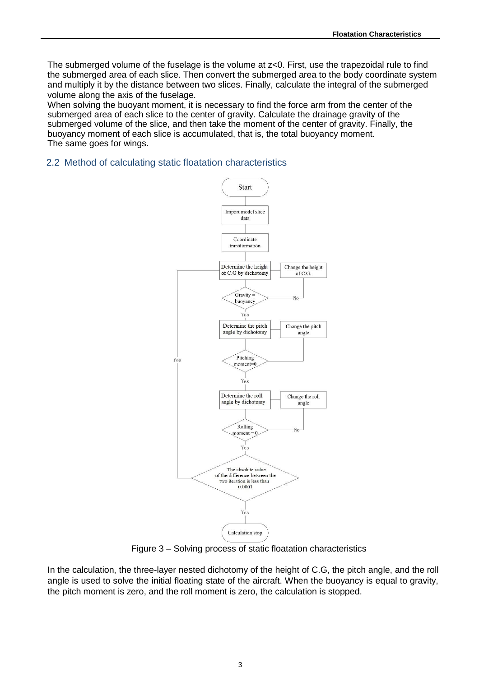The submerged volume of the fuselage is the volume at z<0. First, use the trapezoidal rule to find the submerged area of each slice. Then convert the submerged area to the body coordinate system and multiply it by the distance between two slices. Finally, calculate the integral of the submerged volume along the axis of the fuselage.

When solving the buoyant moment, it is necessary to find the force arm from the center of the submerged area of each slice to the center of gravity. Calculate the drainage gravity of the submerged volume of the slice, and then take the moment of the center of gravity. Finally, the buoyancy moment of each slice is accumulated, that is, the total buoyancy moment. The same goes for wings.

### 2.2 Method of calculating static floatation characteristics



Figure 3 – Solving process of static floatation characteristics

In the calculation, the three-layer nested dichotomy of the height of C.G, the pitch angle, and the roll angle is used to solve the initial floating state of the aircraft. When the buoyancy is equal to gravity, the pitch moment is zero, and the roll moment is zero, the calculation is stopped.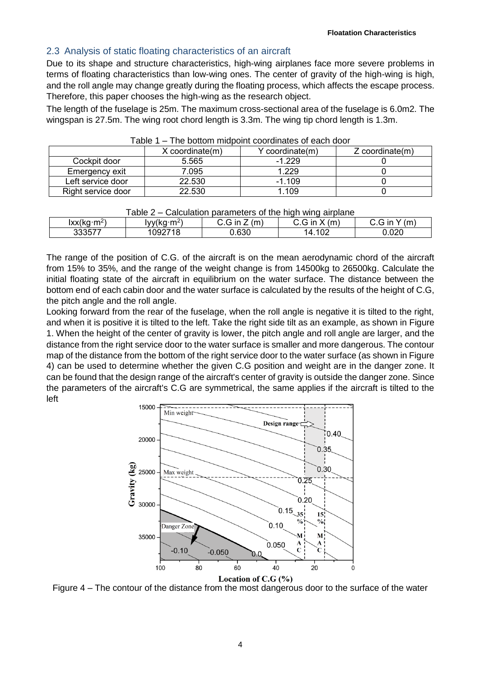## 2.3 Analysis of static floating characteristics of an aircraft

Due to its shape and structure characteristics, high-wing airplanes face more severe problems in terms of floating characteristics than low-wing ones. The center of gravity of the high-wing is high, and the roll angle may change greatly during the floating process, which affects the escape process. Therefore, this paper chooses the high-wing as the research object.

The length of the fuselage is 25m. The maximum cross-sectional area of the fuselage is 6.0m2. The wingspan is 27.5m. The wing root chord length is 3.3m. The wing tip chord length is 1.3m.

|                    | $X$ coordinate $(m)$ | Y coordinate(m) | $Z$ coordinate $(m)$ |  |
|--------------------|----------------------|-----------------|----------------------|--|
| Cockpit door       | 5.565                | $-1.229$        |                      |  |
| Emergency exit     | 7.095                | .229            |                      |  |
| Left service door  | 22.530               | $-1.109$        |                      |  |
| Right service door | 22.530               | .109            |                      |  |

| Table 1 – The bottom midpoint coordinates of each door |  |  |
|--------------------------------------------------------|--|--|
|--------------------------------------------------------|--|--|

| Table 2 – Calculation parameters of the high wing airplane |                                        |                 |                 |                 |  |  |
|------------------------------------------------------------|----------------------------------------|-----------------|-----------------|-----------------|--|--|
| lxx(kg·m <sup>2</sup> )                                    | $\text{Iyy}(\text{kg}\cdot\text{m}^2)$ | $C.G$ in $Z(m)$ | $C.G$ in $X(m)$ | $C.G$ in $Y(m)$ |  |  |
| 333577                                                     | 1092718                                | 0.630           | 14.102          | 0.020           |  |  |

The range of the position of C.G. of the aircraft is on the mean aerodynamic chord of the aircraft from 15% to 35%, and the range of the weight change is from 14500kg to 26500kg. Calculate the initial floating state of the aircraft in equilibrium on the water surface. The distance between the bottom end of each cabin door and the water surface is calculated by the results of the height of C.G, the pitch angle and the roll angle.

Looking forward from the rear of the fuselage, when the roll angle is negative it is tilted to the right, and when it is positive it is tilted to the left. Take the right side tilt as an example, as shown in Figure 1. When the height of the center of gravity is lower, the pitch angle and roll angle are larger, and the distance from the right service door to the water surface is smaller and more dangerous. The contour map of the distance from the bottom of the right service door to the water surface (as shown in Figure 4) can be used to determine whether the given C.G position and weight are in the danger zone. It can be found that the design range of the aircraft's center of gravity is outside the danger zone. Since the parameters of the aircraft's C.G are symmetrical, the same applies if the aircraft is tilted to the left



Figure 4 – The contour of the distance from the most dangerous door to the surface of the water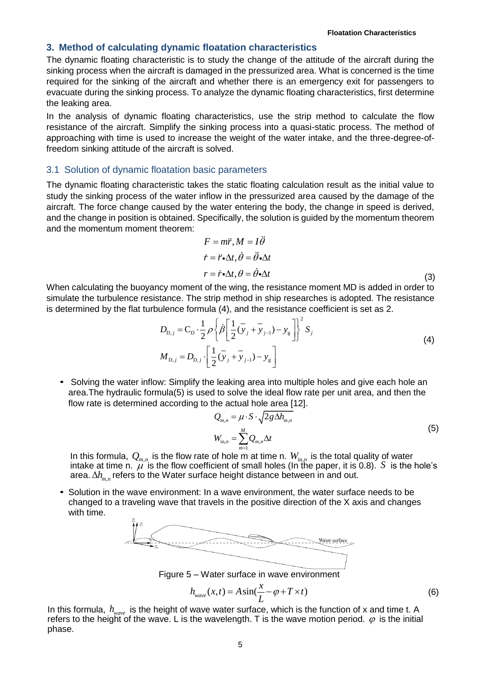### **3. Method of calculating dynamic floatation characteristics**

The dynamic floating characteristic is to study the change of the attitude of the aircraft during the sinking process when the aircraft is damaged in the pressurized area. What is concerned is the time required for the sinking of the aircraft and whether there is an emergency exit for passengers to evacuate during the sinking process. To analyze the dynamic floating characteristics, first determine the leaking area.

In the analysis of dynamic floating characteristics, use the strip method to calculate the flow resistance of the aircraft. Simplify the sinking process into a quasi-static process. The method of approaching with time is used to increase the weight of the water intake, and the three-degree-offreedom sinking attitude of the aircraft is solved.

#### 3.1 Solution of dynamic floatation basic parameters

The dynamic floating characteristic takes the static floating calculation result as the initial value to study the sinking process of the water inflow in the pressurized area caused by the damage of the aircraft. The force change caused by the water entering the body, the change in speed is derived, and the change in position is obtained. Specifically, the solution is guided by the momentum theorem and the momentum moment theorem:

$$
F = m\ddot{r}, M = I\ddot{\theta}
$$
  
\n
$$
\dot{r} = \ddot{r} \cdot \Delta t, \dot{\theta} = \ddot{\theta} \cdot \Delta t
$$
  
\n
$$
r = \dot{r} \cdot \Delta t, \theta = \dot{\theta} \cdot \Delta t
$$
\n(3)

When calculating the buoyancy moment of the wing, the resistance moment MD is added in order to simulate the turbulence resistance. The strip method in ship researches is adopted. The resistance

is determined by the flat turbulence formula (4), and the resistance coefficient is set as 2.  
\n
$$
D_{\text{D},j} = C_{\text{D}} \cdot \frac{1}{2} \rho \left\{ \beta \left[ \frac{1}{2} (\bar{y}_j + \bar{y}_j - y_g) \right]^2 S_j \right\}
$$
\n
$$
M_{\text{D},j} = D_{\text{D},j} \cdot \left[ \frac{1}{2} (\bar{y}_j + \bar{y}_j - y_g) \right]
$$
\n(4)

• Solving the water inflow: Simplify the leaking area into multiple holes and give each hole an area.The hydraulic formula(5) is used to solve the ideal flow rate per unit area, and then the flow rate is determined according to the actual hole area [12].

$$
Q_{m,n} = \mu \cdot S \cdot \sqrt{2g\Delta h_{m,n}}
$$
  
\n
$$
W_{\text{in},n} = \sum_{m=1}^{M} Q_{m,n} \Delta t
$$
\n(5)

In this formula,  $Q_{m,n}$  is the flow rate of hole m at time n.  $W_{\text{in},n}$  is the total quality of water intake at time n.  $\mu$  is the flow coefficient of small holes (In the paper, it is 0.8). S is the hole's area.  $\Delta h_{m,n}$  refers to the Water surface height distance between in and out.

*•* Solution in the wave environment: In a wave environment, the water surface needs to be changed to a traveling wave that travels in the positive direction of the X axis and changes with time.



Figure 5 – Water surface in wave environment

$$
h_{wave}(x,t) = A\sin(\frac{x}{L} - \varphi + T \times t)
$$
\n(6)

In this formula,  $h_{\tiny wave}$  is the height of wave water surface, which is the function of x and time t. A refers to the height of the wave. L is the wavelength. T is the wave motion period.  $\varphi$  is the initial phase.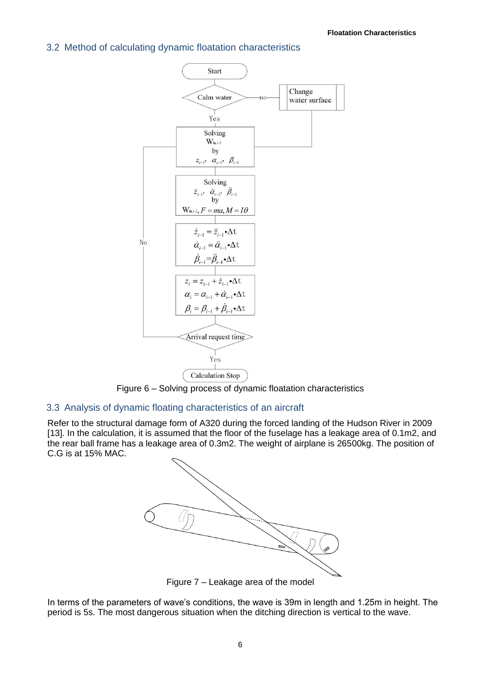## 3.2 Method of calculating dynamic floatation characteristics



Figure 6 – Solving process of dynamic floatation characteristics

## 3.3 Analysis of dynamic floating characteristics of an aircraft

Refer to the structural damage form of A320 during the forced landing of the Hudson River in 2009 [13]. In the calculation, it is assumed that the floor of the fuselage has a leakage area of 0.1m2, and the rear ball frame has a leakage area of 0.3m2. The weight of airplane is 26500kg. The position of C.G is at 15% MAC.



Figure 7 – Leakage area of the model

In terms of the parameters of wave's conditions, the wave is 39m in length and 1.25m in height. The period is 5s. The most dangerous situation when the ditching direction is vertical to the wave.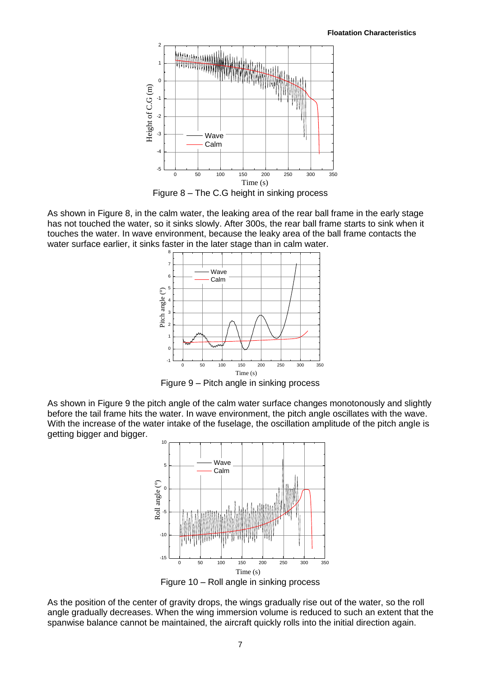

Figure 8 – The C.G height in sinking process

As shown in Figure 8, in the calm water, the leaking area of the rear ball frame in the early stage has not touched the water, so it sinks slowly. After 300s, the rear ball frame starts to sink when it touches the water. In wave environment, because the leaky area of the ball frame contacts the water surface earlier, it sinks faster in the later stage than in calm water.



Figure 9 – Pitch angle in sinking process

As shown in Figure 9 the pitch angle of the calm water surface changes monotonously and slightly before the tail frame hits the water. In wave environment, the pitch angle oscillates with the wave. With the increase of the water intake of the fuselage, the oscillation amplitude of the pitch angle is getting bigger and bigger.



Figure 10 – Roll angle in sinking process

As the position of the center of gravity drops, the wings gradually rise out of the water, so the roll angle gradually decreases. When the wing immersion volume is reduced to such an extent that the spanwise balance cannot be maintained, the aircraft quickly rolls into the initial direction again.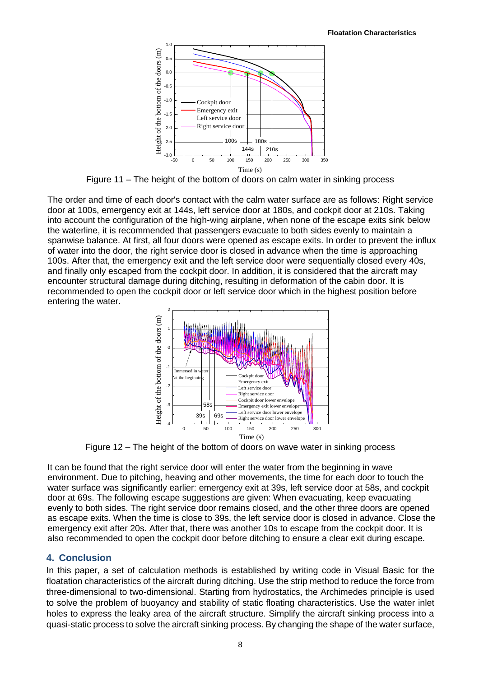

Figure 11 – The height of the bottom of doors on calm water in sinking process

The order and time of each door's contact with the calm water surface are as follows: Right service door at 100s, emergency exit at 144s, left service door at 180s, and cockpit door at 210s. Taking into account the configuration of the high-wing airplane, when none of the escape exits sink below the waterline, it is recommended that passengers evacuate to both sides evenly to maintain a spanwise balance. At first, all four doors were opened as escape exits. In order to prevent the influx of water into the door, the right service door is closed in advance when the time is approaching 100s. After that, the emergency exit and the left service door were sequentially closed every 40s, and finally only escaped from the cockpit door. In addition, it is considered that the aircraft may encounter structural damage during ditching, resulting in deformation of the cabin door. It is recommended to open the cockpit door or left service door which in the highest position before entering the water.



Figure 12 – The height of the bottom of doors on wave water in sinking process

It can be found that the right service door will enter the water from the beginning in wave environment. Due to pitching, heaving and other movements, the time for each door to touch the water surface was significantly earlier: emergency exit at 39s, left service door at 58s, and cockpit door at 69s. The following escape suggestions are given: When evacuating, keep evacuating evenly to both sides. The right service door remains closed, and the other three doors are opened as escape exits. When the time is close to 39s, the left service door is closed in advance. Close the emergency exit after 20s. After that, there was another 10s to escape from the cockpit door. It is also recommended to open the cockpit door before ditching to ensure a clear exit during escape.

# **4. Conclusion**

In this paper, a set of calculation methods is established by writing code in Visual Basic for the floatation characteristics of the aircraft during ditching. Use the strip method to reduce the force from three-dimensional to two-dimensional. Starting from hydrostatics, the Archimedes principle is used to solve the problem of buoyancy and stability of static floating characteristics. Use the water inlet holes to express the leaky area of the aircraft structure. Simplify the aircraft sinking process into a quasi-static process to solve the aircraft sinking process. By changing the shape of the water surface,